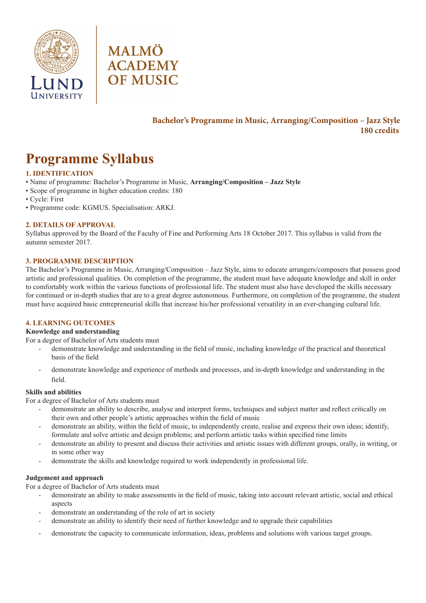



## **Bachelor's Programme in Music, Arranging/Composition – Jazz Style 180 credits**

# **Programme Syllabus**

### **1. IDENTIFICATION**

- Name of programme: Bachelor's Programme in Music, **Arranging/Composition Jazz Style**
- Scope of programme in higher education credits: 180
- Cycle: First
- Programme code: KGMUS. Specialisation: ARKJ.

#### **2. DETAILS OF APPROVAL**

Syllabus approved by the Board of the Faculty of Fine and Performing Arts 18 October 2017. This syllabus is valid from the autumn semester 2017.

#### **3. PROGRAMME DESCRIPTION**

The Bachelor's Programme in Music, Arranging/Composition – Jazz Style, aims to educate arrangers/composers that possess good artistic and professional qualities. On completion of the programme, the student must have adequate knowledge and skill in order to comfortably work within the various functions of professional life. The student must also have developed the skills necessary for continued or in-depth studies that are to a great degree autonomous. Furthermore, on completion of the programme, the student must have acquired basic entrepreneurial skills that increase his/her professional versatility in an ever-changing cultural life.

#### **4. LEARNING OUTCOMES**

#### **Knowledge and understanding**

For a degree of Bachelor of Arts students must

- demonstrate knowledge and understanding in the field of music, including knowledge of the practical and theoretical basis of the field
- demonstrate knowledge and experience of methods and processes, and in-depth knowledge and understanding in the field.

#### **Skills and abilities**

For a degree of Bachelor of Arts students must

- demonstrate an ability to describe, analyse and interpret forms, techniques and subject matter and reflect critically on their own and other people's artistic approaches within the field of music
- demonstrate an ability, within the field of music, to independently create, realise and express their own ideas; identify, formulate and solve artistic and design problems; and perform artistic tasks within specified time limits
- demonstrate an ability to present and discuss their activities and artistic issues with different groups, orally, in writing, or in some other way
- demonstrate the skills and knowledge required to work independently in professional life.

#### **Judgement and approach**

For a degree of Bachelor of Arts students must

- demonstrate an ability to make assessments in the field of music, taking into account relevant artistic, social and ethical aspects
- demonstrate an understanding of the role of art in society
- demonstrate an ability to identify their need of further knowledge and to upgrade their capabilities
- demonstrate the capacity to communicate information, ideas, problems and solutions with various target groups.